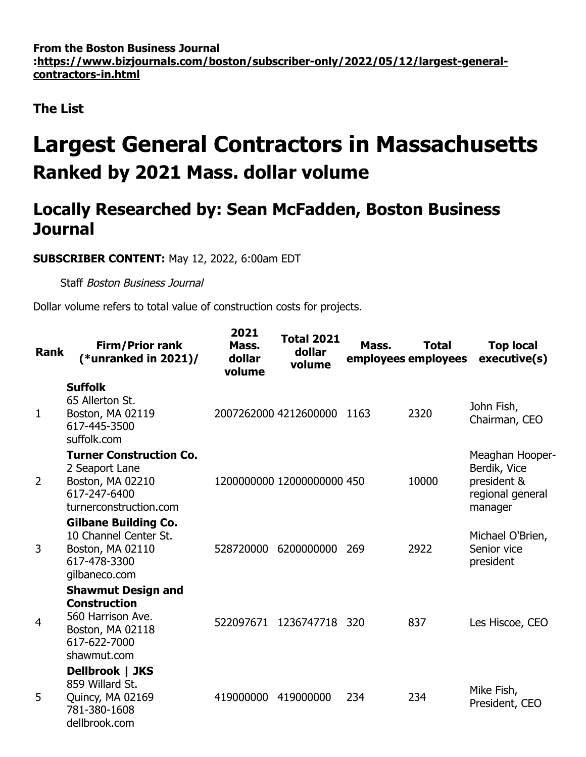**From the Boston Business Journal [:https://www.bizjournals.com/boston/subscriber-only/2022/05/12/largest-general](https://www.bizjournals.com/boston/subscriber-only/2022/05/12/largest-general-contractors-in.html)contractors-in.html**

**The List**

## **Largest General Contractors in Massachusetts Ranked by 2021 Mass. dollar volume**

## **Locally Researched by: Sean McFadden, Boston Business Journal**

## **SUBSCRIBER CONTENT:** May 12, 2022, 6:00am EDT

Staff Boston Business Journal

Dollar volume refers to total value of construction costs for projects.

| <b>Rank</b>    | <b>Firm/Prior rank</b><br>(*unranked in $2021$ )/                                                                               | 2021<br>Mass.<br>dollar<br>volume | <b>Total 2021</b><br>dollar<br>volume | Mass. | <b>Total</b><br>employees employees | <b>Top local</b><br>executive(s)                                              |
|----------------|---------------------------------------------------------------------------------------------------------------------------------|-----------------------------------|---------------------------------------|-------|-------------------------------------|-------------------------------------------------------------------------------|
| 1              | <b>Suffolk</b><br>65 Allerton St.<br>Boston, MA 02119<br>617-445-3500<br>suffolk.com                                            |                                   | 2007262000 4212600000                 | 1163  | 2320                                | John Fish,<br>Chairman, CEO                                                   |
| $\overline{2}$ | <b>Turner Construction Co.</b><br>2 Seaport Lane<br>Boston, MA 02210<br>617-247-6400<br>turnerconstruction.com                  |                                   | 1200000000 12000000000 450            |       | 10000                               | Meaghan Hooper-<br>Berdik, Vice<br>president &<br>regional general<br>manager |
| 3              | <b>Gilbane Building Co.</b><br>10 Channel Center St.<br>Boston, MA 02110<br>617-478-3300<br>gilbaneco.com                       | 528720000                         | 6200000000                            | 269   | 2922                                | Michael O'Brien,<br>Senior vice<br>president                                  |
| 4              | <b>Shawmut Design and</b><br><b>Construction</b><br>560 Harrison Ave.<br><b>Boston, MA 02118</b><br>617-622-7000<br>shawmut.com | 522097671                         | 1236747718                            | 320   | 837                                 | Les Hiscoe, CEO                                                               |
| 5              | Dellbrook   JKS<br>859 Willard St.<br>Quincy, MA 02169<br>781-380-1608<br>dellbrook.com                                         | 419000000                         | 419000000                             | 234   | 234                                 | Mike Fish,<br>President, CEO                                                  |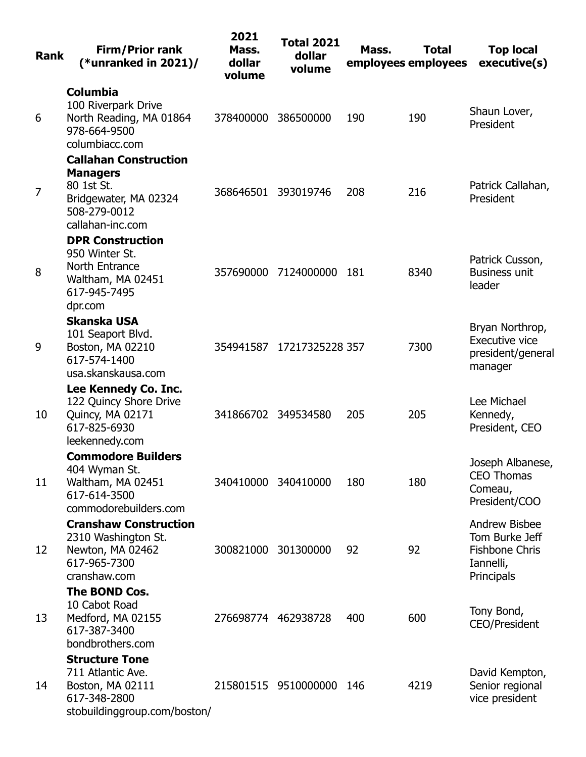| <b>Rank</b>    | <b>Firm/Prior rank</b><br>(*unranked in $2021$ )/                                                                          | 2021<br>Mass.<br>dollar<br>volume | <b>Total 2021</b><br>dollar<br>volume | Mass. | <b>Total</b><br>employees employees | <b>Top local</b><br>executive(s)                                                           |
|----------------|----------------------------------------------------------------------------------------------------------------------------|-----------------------------------|---------------------------------------|-------|-------------------------------------|--------------------------------------------------------------------------------------------|
| 6              | <b>Columbia</b><br>100 Riverpark Drive<br>North Reading, MA 01864<br>978-664-9500<br>columbiacc.com                        | 378400000                         | 386500000                             | 190   | 190                                 | Shaun Lover,<br>President                                                                  |
| $\overline{7}$ | <b>Callahan Construction</b><br><b>Managers</b><br>80 1st St.<br>Bridgewater, MA 02324<br>508-279-0012<br>callahan-inc.com | 368646501                         | 393019746                             | 208   | 216                                 | Patrick Callahan,<br>President                                                             |
| 8              | <b>DPR Construction</b><br>950 Winter St.<br>North Entrance<br>Waltham, MA 02451<br>617-945-7495<br>dpr.com                | 357690000                         | 7124000000                            | 181   | 8340                                | Patrick Cusson,<br><b>Business unit</b><br>leader                                          |
| 9              | <b>Skanska USA</b><br>101 Seaport Blvd.<br>Boston, MA 02210<br>617-574-1400<br>usa.skanskausa.com                          |                                   | 354941587 17217325228 357             |       | 7300                                | Bryan Northrop,<br>Executive vice<br>president/general<br>manager                          |
| 10             | Lee Kennedy Co. Inc.<br>122 Quincy Shore Drive<br>Quincy, MA 02171<br>617-825-6930<br>leekennedy.com                       | 341866702                         | 349534580                             | 205   | 205                                 | Lee Michael<br>Kennedy,<br>President, CEO                                                  |
| 11             | <b>Commodore Builders</b><br>404 Wyman St.<br>Waltham, MA 02451<br>617-614-3500<br>commodorebuilders.com                   | 340410000 340410000               |                                       | 180   | 180                                 | Joseph Albanese,<br><b>CEO Thomas</b><br>Comeau,<br>President/COO                          |
| 12             | <b>Cranshaw Construction</b><br>2310 Washington St.<br>Newton, MA 02462<br>617-965-7300<br>cranshaw.com                    | 300821000                         | 301300000                             | 92    | 92                                  | <b>Andrew Bisbee</b><br>Tom Burke Jeff<br><b>Fishbone Chris</b><br>Iannelli,<br>Principals |
| 13             | The BOND Cos.<br>10 Cabot Road<br>Medford, MA 02155<br>617-387-3400<br>bondbrothers.com                                    | 276698774 462938728               |                                       | 400   | 600                                 | Tony Bond,<br><b>CEO/President</b>                                                         |
| 14             | <b>Structure Tone</b><br>711 Atlantic Ave.<br>Boston, MA 02111<br>617-348-2800<br>stobuildinggroup.com/boston/             |                                   | 215801515 9510000000                  | 146   | 4219                                | David Kempton,<br>Senior regional<br>vice president                                        |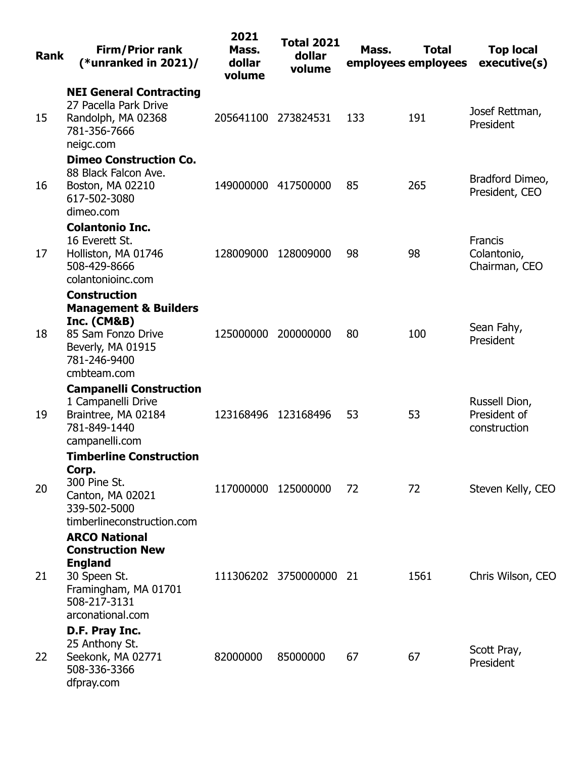| <b>Rank</b> | <b>Firm/Prior rank</b><br>(*unranked in $2021$ )/                                                                                                  | 2021<br>Mass.<br>dollar<br>volume | <b>Total 2021</b><br>dollar<br>volume | Mass. | <b>Total</b><br>employees employees | <b>Top local</b><br>executive(s)               |
|-------------|----------------------------------------------------------------------------------------------------------------------------------------------------|-----------------------------------|---------------------------------------|-------|-------------------------------------|------------------------------------------------|
| 15          | <b>NEI General Contracting</b><br>27 Pacella Park Drive<br>Randolph, MA 02368<br>781-356-7666<br>neigc.com                                         | 205641100                         | 273824531                             | 133   | 191                                 | Josef Rettman,<br>President                    |
| 16          | <b>Dimeo Construction Co.</b><br>88 Black Falcon Ave.<br>Boston, MA 02210<br>617-502-3080<br>dimeo.com                                             | 149000000                         | 417500000                             | 85    | 265                                 | Bradford Dimeo,<br>President, CEO              |
| 17          | <b>Colantonio Inc.</b><br>16 Everett St.<br>Holliston, MA 01746<br>508-429-8666<br>colantonioinc.com                                               | 128009000                         | 128009000                             | 98    | 98                                  | <b>Francis</b><br>Colantonio,<br>Chairman, CEO |
| 18          | <b>Construction</b><br><b>Management &amp; Builders</b><br>Inc. $(CM&B)$<br>85 Sam Fonzo Drive<br>Beverly, MA 01915<br>781-246-9400<br>cmbteam.com | 125000000                         | 200000000                             | 80    | 100                                 | Sean Fahy,<br>President                        |
| 19          | <b>Campanelli Construction</b><br>1 Campanelli Drive<br>Braintree, MA 02184<br>781-849-1440<br>campanelli.com                                      | 123168496                         | 123168496                             | 53    | 53                                  | Russell Dion,<br>President of<br>construction  |
| 20          | <b>Timberline Construction</b><br>Corp.<br>300 Pine St.<br>Canton, MA 02021<br>339-502-5000<br>timberlineconstruction.com                          | 117000000                         | 125000000                             | 72    | 72                                  | Steven Kelly, CEO                              |
| 21          | <b>ARCO National</b><br><b>Construction New</b><br><b>England</b><br>30 Speen St.<br>Framingham, MA 01701<br>508-217-3131<br>arconational.com      |                                   | 111306202 3750000000                  | -21   | 1561                                | Chris Wilson, CEO                              |
| 22          | D.F. Pray Inc.<br>25 Anthony St.<br>Seekonk, MA 02771<br>508-336-3366<br>dfpray.com                                                                | 82000000                          | 85000000                              | 67    | 67                                  | Scott Pray,<br>President                       |